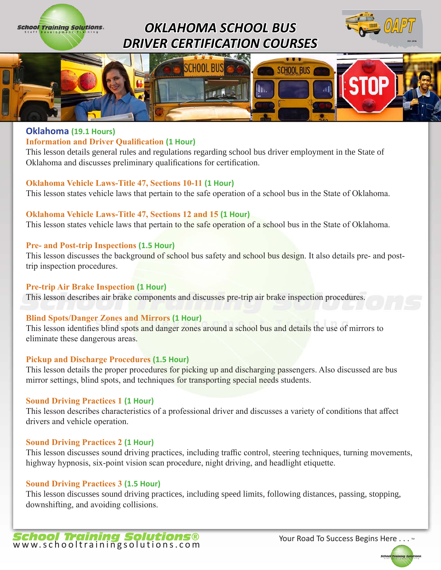





# **Oklahoma (19.1 Hours)**

**School Training Solutions.** 

#### **Information and Driver Qualification (1 Hour)**

This lesson details general rules and regulations regarding school bus driver employment in the State of Oklahoma and discusses preliminary qualifications for certification.

#### **Oklahoma Vehicle Laws-Title 47, Sections 10-11 (1 Hour)**

This lesson states vehicle laws that pertain to the safe operation of a school bus in the State of Oklahoma.

#### **Oklahoma Vehicle Laws-Title 47, Sections 12 and 15 (1 Hour)**

This lesson states vehicle laws that pertain to the safe operation of a school bus in the State of Oklahoma.

#### **Pre- and Post-trip Inspections (1.5 Hour)**

This lesson discusses the background of school bus safety and school bus design. It also details pre- and posttrip inspection procedures.

#### **Pre-trip Air Brake Inspection (1 Hour)**

This lesson describes air brake components and discusses pre-trip air brake inspection procedures.

#### **Blind Spots/Danger Zones and Mirrors (1 Hour)**

This lesson identifies blind spots and danger zones around a school bus and details the use of mirrors to eliminate these dangerous areas.

## **Pickup and Discharge Procedures (1.5 Hour)**

This lesson details the proper procedures for picking up and discharging passengers. Also discussed are bus mirror settings, blind spots, and techniques for transporting special needs students.

#### **Sound Driving Practices 1 (1 Hour)**

This lesson describes characteristics of a professional driver and discusses a variety of conditions that affect drivers and vehicle operation.

#### **Sound Driving Practices 2 (1 Hour)**

This lesson discusses sound driving practices, including traffic control, steering techniques, turning movements, highway hypnosis, six-point vision scan procedure, night driving, and headlight etiquette.

#### **Sound Driving Practices 3 (1.5 Hour)**

This lesson discusses sound driving practices, including speed limits, following distances, passing, stopping, downshifting, and avoiding collisions.